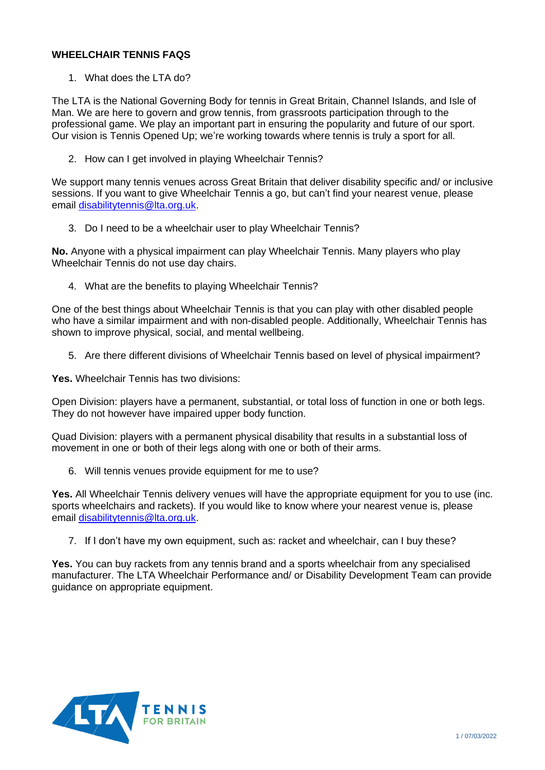## **WHEELCHAIR TENNIS FAQS**

1. What does the LTA do?

The LTA is the National Governing Body for tennis in Great Britain, Channel Islands, and Isle of Man. We are here to govern and grow tennis, from grassroots participation through to the professional game. We play an important part in ensuring the popularity and future of our sport. Our vision is Tennis Opened Up; we're working towards where tennis is truly a sport for all.

2. How can I get involved in playing Wheelchair Tennis?

We support many tennis venues across Great Britain that deliver disability specific and/ or inclusive sessions. If you want to give Wheelchair Tennis a go, but can't find your nearest venue, please email [disabilitytennis@lta.org.uk.](mailto:disabilitytennis@lta.org.uk)

3. Do I need to be a wheelchair user to play Wheelchair Tennis?

**No.** Anyone with a physical impairment can play Wheelchair Tennis. Many players who play Wheelchair Tennis do not use day chairs.

4. What are the benefits to playing Wheelchair Tennis?

One of the best things about Wheelchair Tennis is that you can play with other disabled people who have a similar impairment and with non-disabled people. Additionally, Wheelchair Tennis has shown to improve physical, social, and mental wellbeing.

5. Are there different divisions of Wheelchair Tennis based on level of physical impairment?

**Yes.** Wheelchair Tennis has two divisions:

Open Division: players have a permanent, substantial, or total loss of function in one or both legs. They do not however have impaired upper body function.

Quad Division: players with a permanent physical disability that results in a substantial loss of movement in one or both of their legs along with one or both of their arms.

6. Will tennis venues provide equipment for me to use?

Yes. All Wheelchair Tennis delivery venues will have the appropriate equipment for you to use (inc. sports wheelchairs and rackets). If you would like to know where your nearest venue is, please email [disabilitytennis@lta.org.uk.](mailto:disabilitytennis@lta.org.uk)

7. If I don't have my own equipment, such as: racket and wheelchair, can I buy these?

**Yes.** You can buy rackets from any tennis brand and a sports wheelchair from any specialised manufacturer. The LTA Wheelchair Performance and/ or Disability Development Team can provide guidance on appropriate equipment.

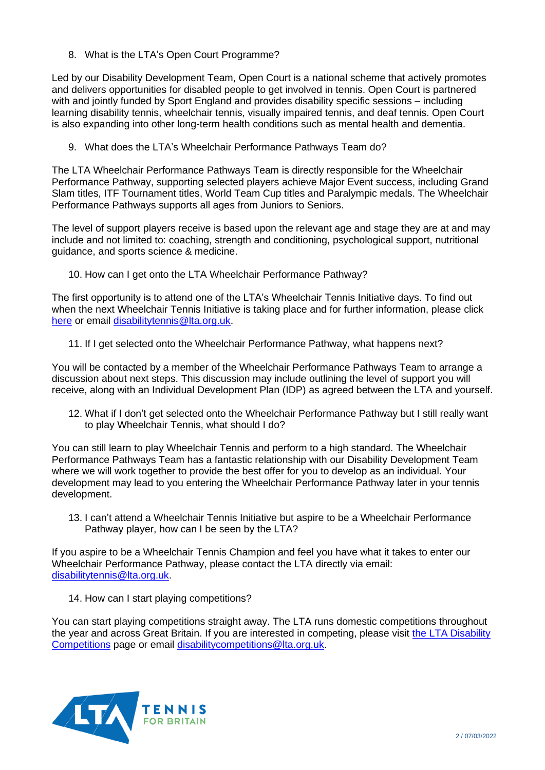8. What is the LTA's Open Court Programme?

Led by our Disability Development Team, Open Court is a national scheme that actively promotes and delivers opportunities for disabled people to get involved in tennis. Open Court is partnered with and jointly funded by Sport England and provides disability specific sessions – including learning disability tennis, wheelchair tennis, visually impaired tennis, and deaf tennis. Open Court is also expanding into other long-term health conditions such as mental health and dementia.

9. What does the LTA's Wheelchair Performance Pathways Team do?

The LTA Wheelchair Performance Pathways Team is directly responsible for the Wheelchair Performance Pathway, supporting selected players achieve Major Event success, including Grand Slam titles, ITF Tournament titles, World Team Cup titles and Paralympic medals. The Wheelchair Performance Pathways supports all ages from Juniors to Seniors.

The level of support players receive is based upon the relevant age and stage they are at and may include and not limited to: coaching, strength and conditioning, psychological support, nutritional guidance, and sports science & medicine.

10. How can I get onto the LTA Wheelchair Performance Pathway?

The first opportunity is to attend one of the LTA's Wheelchair Tennis Initiative days. To find out when the next Wheelchair Tennis Initiative is taking place and for further information, please click [here](https://www.lta.org.uk/compete/performance/wheelchair-tennis-initiative/) or email [disabilitytennis@lta.org.uk.](mailto:disabilitytennis@lta.org.uk)

11. If I get selected onto the Wheelchair Performance Pathway, what happens next?

You will be contacted by a member of the Wheelchair Performance Pathways Team to arrange a discussion about next steps. This discussion may include outlining the level of support you will receive, along with an Individual Development Plan (IDP) as agreed between the LTA and yourself.

12. What if I don't get selected onto the Wheelchair Performance Pathway but I still really want to play Wheelchair Tennis, what should I do?

You can still learn to play Wheelchair Tennis and perform to a high standard. The Wheelchair Performance Pathways Team has a fantastic relationship with our Disability Development Team where we will work together to provide the best offer for you to develop as an individual. Your development may lead to you entering the Wheelchair Performance Pathway later in your tennis development.

13. I can't attend a Wheelchair Tennis Initiative but aspire to be a Wheelchair Performance Pathway player, how can I be seen by the LTA?

If you aspire to be a Wheelchair Tennis Champion and feel you have what it takes to enter our Wheelchair Performance Pathway, please contact the LTA directly via email: [disabilitytennis@lta.org.uk.](mailto:disabilitytennis@lta.org.uk)

14. How can I start playing competitions?

You can start playing competitions straight away. The LTA runs domestic competitions throughout the year and across Great Britain. If you are interested in competing, please visit [the LTA Disability](https://www.lta.org.uk/compete/inclusion-disability/competition-calendar/)  [Competitions](https://www.lta.org.uk/compete/inclusion-disability/competition-calendar/) page or email [disabilitycompetitions@lta.org.uk.](mailto:disabilitycompetitions@lta.org.uk)